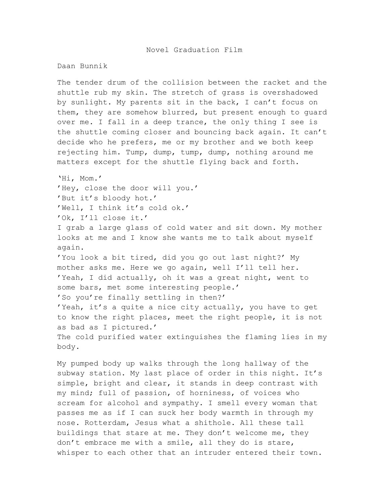## Daan Bunnik

The tender drum of the collision between the racket and the shuttle rub my skin. The stretch of grass is overshadowed by sunlight. My parents sit in the back, I can't focus on them, they are somehow blurred, but present enough to guard over me. I fall in a deep trance, the only thing I see is the shuttle coming closer and bouncing back again. It can't decide who he prefers, me or my brother and we both keep rejecting him. Tump, dump, tump, dump, nothing around me matters except for the shuttle flying back and forth.

'Hi, Mom.' 'Hey, close the door will you.' 'But it's bloody hot.' 'Well, I think it's cold ok.' 'Ok, I'll close it.'

I grab a large glass of cold water and sit down. My mother looks at me and I know she wants me to talk about myself again.

'You look a bit tired, did you go out last night?' My mother asks me. Here we go again, well I'll tell her. 'Yeah, I did actually, oh it was a great night, went to some bars, met some interesting people.' 'So you're finally settling in then?' 'Yeah, it's a quite a nice city actually, you have to get to know the right places, meet the right people, it is not as bad as I pictured.' The cold purified water extinguishes the flaming lies in my body.

My pumped body up walks through the long hallway of the subway station. My last place of order in this night. It's simple, bright and clear, it stands in deep contrast with my mind; full of passion, of horniness, of voices who scream for alcohol and sympathy. I smell every woman that passes me as if I can suck her body warmth in through my nose. Rotterdam, Jesus what a shithole. All these tall buildings that stare at me. They don't welcome me, they don't embrace me with a smile, all they do is stare, whisper to each other that an intruder entered their town.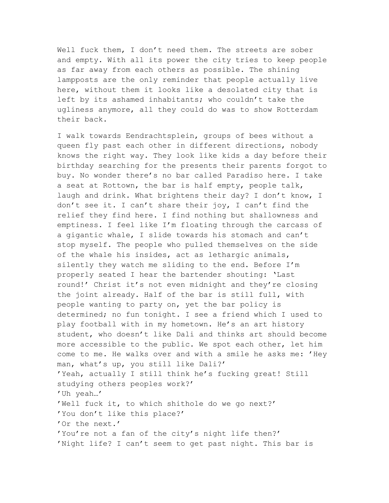Well fuck them, I don't need them. The streets are sober and empty. With all its power the city tries to keep people as far away from each others as possible. The shining lampposts are the only reminder that people actually live here, without them it looks like a desolated city that is left by its ashamed inhabitants; who couldn't take the ugliness anymore, all they could do was to show Rotterdam their back.

I walk towards Eendrachtsplein, groups of bees without a queen fly past each other in different directions, nobody knows the right way. They look like kids a day before their birthday searching for the presents their parents forgot to buy. No wonder there's no bar called Paradiso here. I take a seat at Rottown, the bar is half empty, people talk, laugh and drink. What brightens their day? I don't know, I don't see it. I can't share their joy, I can't find the relief they find here. I find nothing but shallowness and emptiness. I feel like I'm floating through the carcass of a gigantic whale, I slide towards his stomach and can't stop myself. The people who pulled themselves on the side of the whale his insides, act as lethargic animals, silently they watch me sliding to the end. Before I'm properly seated I hear the bartender shouting: 'Last round!' Christ it's not even midnight and they're closing the joint already. Half of the bar is still full, with people wanting to party on, yet the bar policy is determined; no fun tonight. I see a friend which I used to play football with in my hometown. He's an art history student, who doesn't like Dali and thinks art should become more accessible to the public. We spot each other, let him come to me. He walks over and with a smile he asks me: 'Hey man, what's up, you still like Dali?' 'Yeah, actually I still think he's fucking great! Still studying others peoples work?' 'Uh yeah…' 'Well fuck it, to which shithole do we go next?' 'You don't like this place?' 'Or the next.' 'You're not a fan of the city's night life then?' 'Night life? I can't seem to get past night. This bar is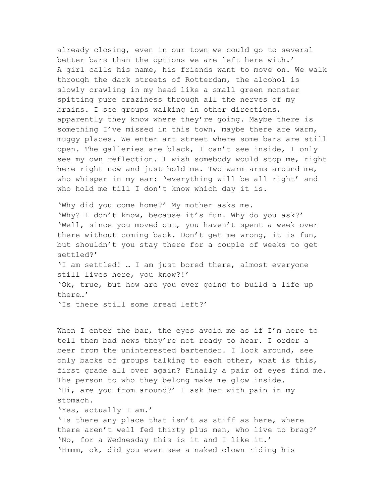already closing, even in our town we could go to several better bars than the options we are left here with.' A girl calls his name, his friends want to move on. We walk through the dark streets of Rotterdam, the alcohol is slowly crawling in my head like a small green monster spitting pure craziness through all the nerves of my brains. I see groups walking in other directions, apparently they know where they're going. Maybe there is something I've missed in this town, maybe there are warm, muggy places. We enter art street where some bars are still open. The galleries are black, I can't see inside, I only see my own reflection. I wish somebody would stop me, right here right now and just hold me. Two warm arms around me, who whisper in my ear: 'everything will be all right' and who hold me till I don't know which day it is.

'Why did you come home?' My mother asks me. 'Why? I don't know, because it's fun. Why do you ask?' 'Well, since you moved out, you haven't spent a week over there without coming back. Don't get me wrong, it is fun, but shouldn't you stay there for a couple of weeks to get settled?' 'I am settled! … I am just bored there, almost everyone still lives here, you know?!' 'Ok, true, but how are you ever going to build a life up there…'

'Is there still some bread left?'

When I enter the bar, the eyes avoid me as if I'm here to tell them bad news they're not ready to hear. I order a beer from the uninterested bartender. I look around, see only backs of groups talking to each other, what is this, first grade all over again? Finally a pair of eyes find me. The person to who they belong make me glow inside. 'Hi, are you from around?' I ask her with pain in my stomach.

'Yes, actually I am.'

'Is there any place that isn't as stiff as here, where there aren't well fed thirty plus men, who live to brag?' 'No, for a Wednesday this is it and I like it.' 'Hmmm, ok, did you ever see a naked clown riding his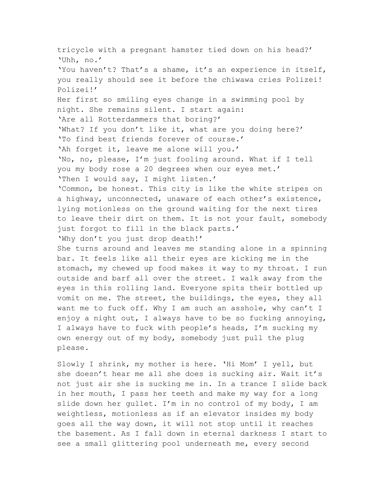tricycle with a pregnant hamster tied down on his head?' 'Uhh, no.' 'You haven't? That's a shame, it's an experience in itself, you really should see it before the chiwawa cries Polizei! Polizei!' Her first so smiling eyes change in a swimming pool by night. She remains silent. I start again: 'Are all Rotterdammers that boring?' 'What? If you don't like it, what are you doing here?' 'To find best friends forever of course.' 'Ah forget it, leave me alone will you.' 'No, no, please, I'm just fooling around. What if I tell you my body rose a 20 degrees when our eyes met.' 'Then I would say, I might listen.' 'Common, be honest. This city is like the white stripes on a highway, unconnected, unaware of each other's existence, lying motionless on the ground waiting for the next tires to leave their dirt on them. It is not your fault, somebody just forgot to fill in the black parts.' 'Why don't you just drop death!' She turns around and leaves me standing alone in a spinning bar. It feels like all their eyes are kicking me in the stomach, my chewed up food makes it way to my throat. I run outside and barf all over the street. I walk away from the eyes in this rolling land. Everyone spits their bottled up vomit on me. The street, the buildings, the eyes, they all want me to fuck off. Why I am such an asshole, why can't I enjoy a night out, I always have to be so fucking annoying, I always have to fuck with people's heads, I'm sucking my own energy out of my body, somebody just pull the plug please.

Slowly I shrink, my mother is here. 'Hi Mom' I yell, but she doesn't hear me all she does is sucking air. Wait it's not just air she is sucking me in. In a trance I slide back in her mouth, I pass her teeth and make my way for a long slide down her gullet. I'm in no control of my body, I am weightless, motionless as if an elevator insides my body goes all the way down, it will not stop until it reaches the basement. As I fall down in eternal darkness I start to see a small glittering pool underneath me, every second